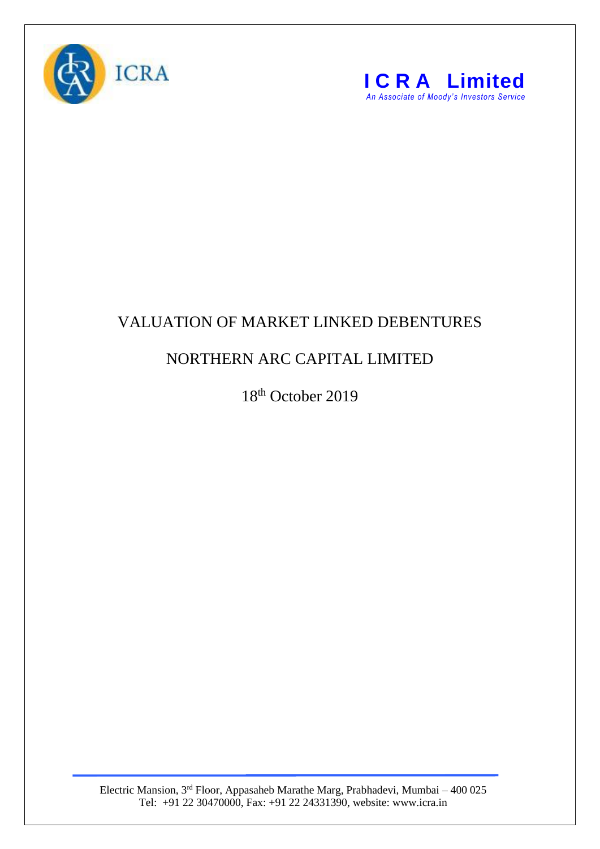



## VALUATION OF MARKET LINKED DEBENTURES

## NORTHERN ARC CAPITAL LIMITED

18<sup>th</sup> October 2019

Electric Mansion, 3<sup>rd</sup> Floor, Appasaheb Marathe Marg, Prabhadevi, Mumbai – 400 025 Tel: +91 22 30470000, Fax: +91 22 24331390, website: www.icra.in